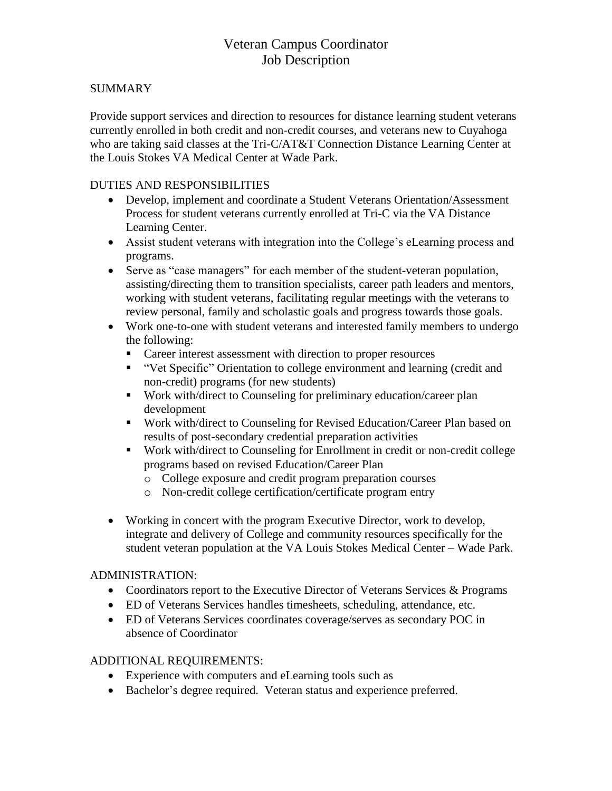## Veteran Campus Coordinator Job Description

### SUMMARY

Provide support services and direction to resources for distance learning student veterans currently enrolled in both credit and non-credit courses, and veterans new to Cuyahoga who are taking said classes at the Tri-C/AT&T Connection Distance Learning Center at the Louis Stokes VA Medical Center at Wade Park.

#### DUTIES AND RESPONSIBILITIES

- Develop, implement and coordinate a Student Veterans Orientation/Assessment Process for student veterans currently enrolled at Tri-C via the VA Distance Learning Center.
- Assist student veterans with integration into the College's eLearning process and programs.
- Serve as "case managers" for each member of the student-veteran population, assisting/directing them to transition specialists, career path leaders and mentors, working with student veterans, facilitating regular meetings with the veterans to review personal, family and scholastic goals and progress towards those goals.
- Work one-to-one with student veterans and interested family members to undergo the following:
	- Career interest assessment with direction to proper resources
	- "Vet Specific" Orientation to college environment and learning (credit and non-credit) programs (for new students)
	- Work with/direct to Counseling for preliminary education/career plan development
	- Work with/direct to Counseling for Revised Education/Career Plan based on results of post-secondary credential preparation activities
	- Work with/direct to Counseling for Enrollment in credit or non-credit college programs based on revised Education/Career Plan
		- o College exposure and credit program preparation courses
		- o Non-credit college certification/certificate program entry
- Working in concert with the program Executive Director, work to develop, integrate and delivery of College and community resources specifically for the student veteran population at the VA Louis Stokes Medical Center – Wade Park.

#### ADMINISTRATION:

- Coordinators report to the Executive Director of Veterans Services & Programs
- ED of Veterans Services handles timesheets, scheduling, attendance, etc.
- ED of Veterans Services coordinates coverage/serves as secondary POC in absence of Coordinator

#### ADDITIONAL REQUIREMENTS:

- Experience with computers and eLearning tools such as
- Bachelor's degree required. Veteran status and experience preferred.